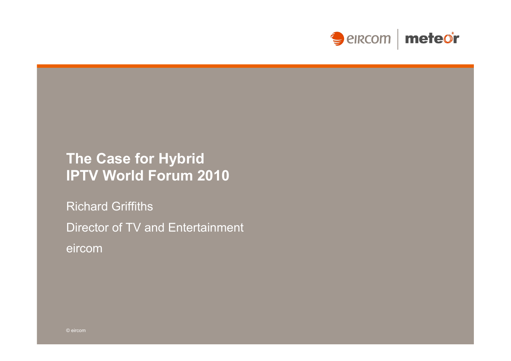

## **The Case for Hybrid IPTV World Forum 2010**

Richard Griffiths Director of TV and Entertainment eircom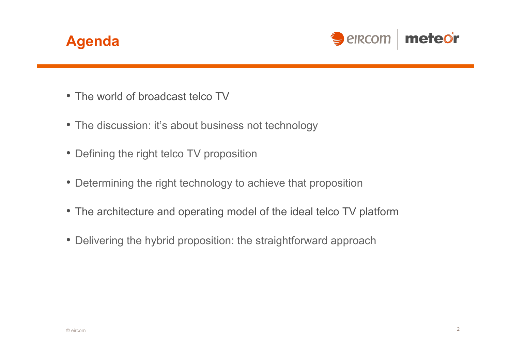



- The world of broadcast telco TV
- The discussion: it's about business not technology
- Defining the right telco TV proposition
- Determining the right technology to achieve that proposition
- The architecture and operating model of the ideal telco TV platform
- Delivering the hybrid proposition: the straightforward approach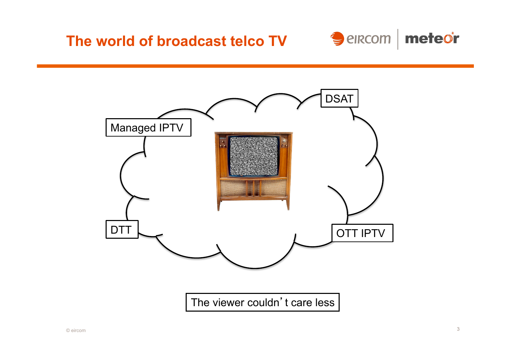



The viewer couldn't care less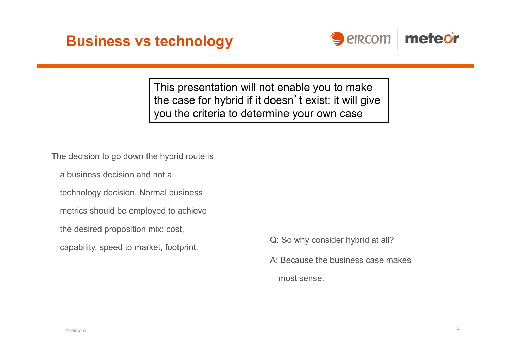



This presentation will not enable you to make the case for hybrid if it doesn't exist: it will give you the criteria to determine your own case

The decision to go down the hybrid route is

a business decision and not a

technology decision. Normal business

- metrics should be employed to achieve
- the desired proposition mix: cost,

capability, speed to market, footprint. Q: So why consider hybrid at all?

- 
- A: Because the business case makes
	- most sense.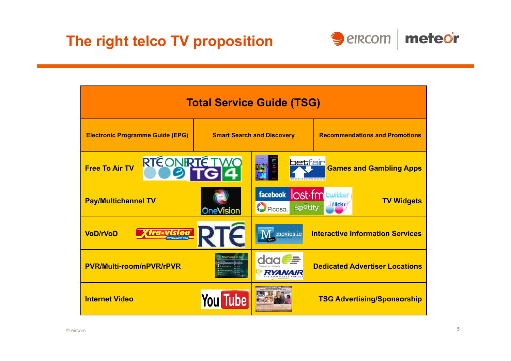

| <b>Total Service Guide (TSG)</b>        |                                   |                                                  |                                               |  |
|-----------------------------------------|-----------------------------------|--------------------------------------------------|-----------------------------------------------|--|
| <b>Electronic Programme Guide (EPG)</b> | <b>Smart Search and Discovery</b> |                                                  | <b>Recommendations and Promotions</b>         |  |
| <b>RTÉONIRTÉ TWO</b><br>Free To Air TV  |                                   | <b>betfair</b>                                   | <b>Games and Gambling Apps</b>                |  |
| <b>Pay/Multichannel TV</b>              | <b>OneVision</b>                  | facebook<br>lost-fm<br>Picasa.<br><b>Spotify</b> | twitter<br><b>TV Widgets</b><br><b>Flickr</b> |  |
| <b>VoD/rVoD</b>                         | <b>TG-VISION RTC</b>              | movies.ie                                        | <b>Interactive Information Services</b>       |  |
| <b>PVR/Multi-room/nPVR/rPVR</b>         |                                   | <b>RYANA</b>                                     | <b>Dedicated Advertiser Locations</b>         |  |
| <b>Internet Video</b>                   | You Tube                          |                                                  | <b>TSG Advertising/Sponsorship</b>            |  |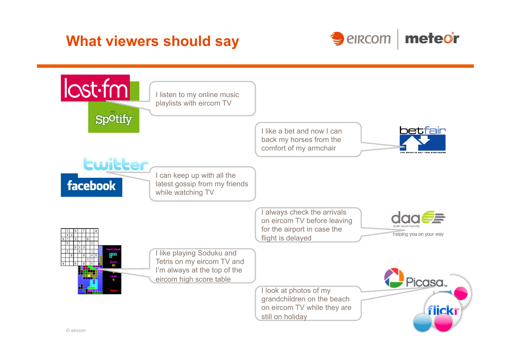## **What viewers should say**



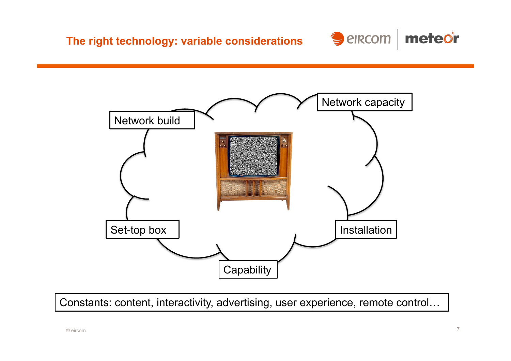



Constants: content, interactivity, advertising, user experience, remote control…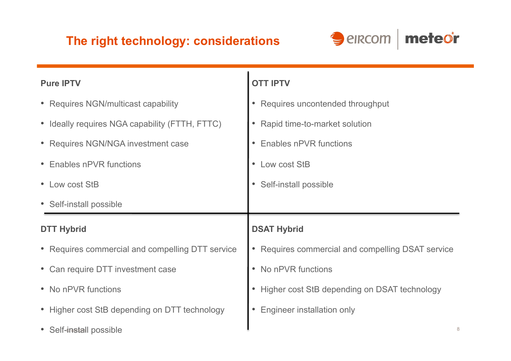#### **The right technology: considerations**



| <b>Pure IPTV</b>                                 | <b>OTT IPTV</b>                                              |
|--------------------------------------------------|--------------------------------------------------------------|
| • Requires NGN/multicast capability              | Requires uncontended throughput<br>$\bullet$                 |
| • Ideally requires NGA capability (FTTH, FTTC)   | Rapid time-to-market solution                                |
| • Requires NGN/NGA investment case               | <b>Enables nPVR functions</b>                                |
| • Enables nPVR functions                         | Low cost StB                                                 |
| • Low cost StB                                   | Self-install possible                                        |
|                                                  |                                                              |
| • Self-install possible                          |                                                              |
| <b>DTT Hybrid</b>                                | <b>DSAT Hybrid</b>                                           |
| • Requires commercial and compelling DTT service | Requires commercial and compelling DSAT service<br>$\bullet$ |
| • Can require DTT investment case                | No nPVR functions<br>$\bullet$                               |
| • No nPVR functions                              | Higher cost StB depending on DSAT technology                 |
| • Higher cost StB depending on DTT technology    | <b>Engineer installation only</b>                            |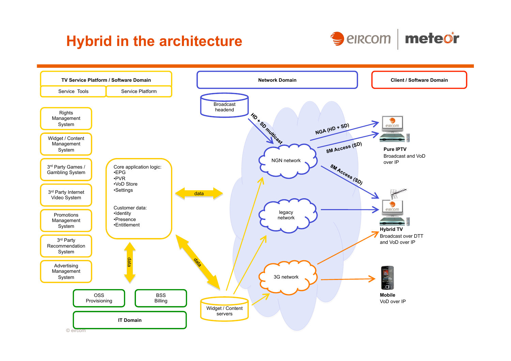## **Hybrid in the architecture**



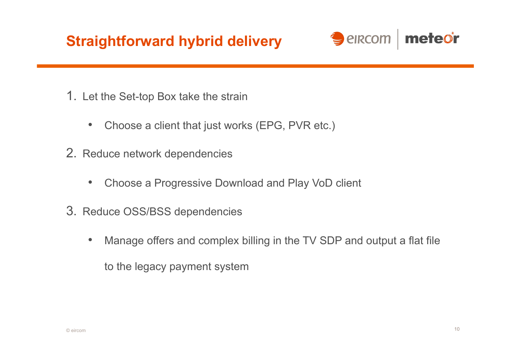# **Straightforward hybrid delivery**



- 1. Let the Set-top Box take the strain
	- Choose a client that just works (EPG, PVR etc.)
- 2. Reduce network dependencies
	- Choose a Progressive Download and Play VoD client
- 3. Reduce OSS/BSS dependencies
	- Manage offers and complex billing in the TV SDP and output a flat file to the legacy payment system